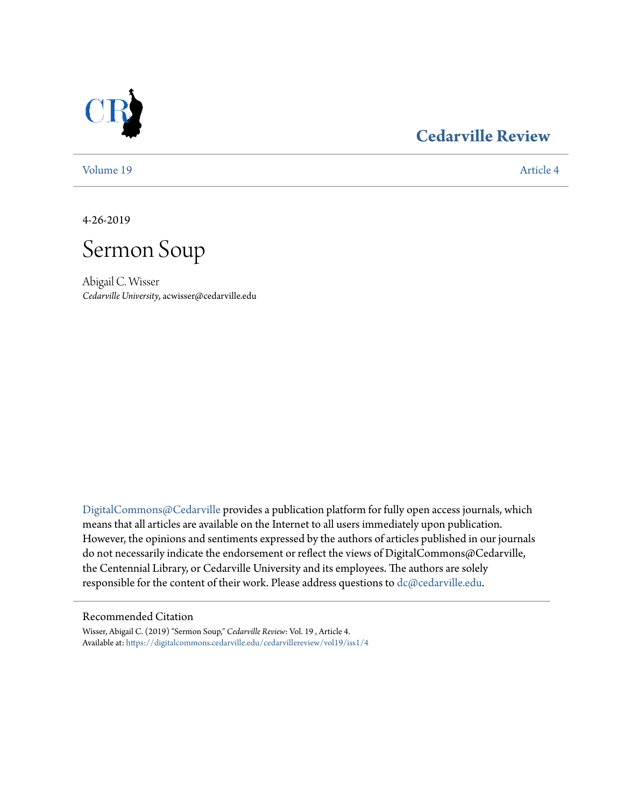

### **[Cedarville Review](https://digitalcommons.cedarville.edu/cedarvillereview?utm_source=digitalcommons.cedarville.edu%2Fcedarvillereview%2Fvol19%2Fiss1%2F4&utm_medium=PDF&utm_campaign=PDFCoverPages)**

[Volume 19](https://digitalcommons.cedarville.edu/cedarvillereview/vol19?utm_source=digitalcommons.cedarville.edu%2Fcedarvillereview%2Fvol19%2Fiss1%2F4&utm_medium=PDF&utm_campaign=PDFCoverPages) [Article 4](https://digitalcommons.cedarville.edu/cedarvillereview/vol19/iss1/4?utm_source=digitalcommons.cedarville.edu%2Fcedarvillereview%2Fvol19%2Fiss1%2F4&utm_medium=PDF&utm_campaign=PDFCoverPages)

4-26-2019



Abigail C. Wisser *Cedarville University*, acwisser@cedarville.edu

[DigitalCommons@Cedarville](http://digitalcommons.cedarville.edu/) provides a publication platform for fully open access journals, which means that all articles are available on the Internet to all users immediately upon publication. However, the opinions and sentiments expressed by the authors of articles published in our journals do not necessarily indicate the endorsement or reflect the views of DigitalCommons@Cedarville, the Centennial Library, or Cedarville University and its employees. The authors are solely responsible for the content of their work. Please address questions to [dc@cedarville.edu](mailto:dc@cedarville.edu).

#### Recommended Citation

Wisser, Abigail C. (2019) "Sermon Soup," *Cedarville Review*: Vol. 19 , Article 4. Available at: [https://digitalcommons.cedarville.edu/cedarvillereview/vol19/iss1/4](https://digitalcommons.cedarville.edu/cedarvillereview/vol19/iss1/4?utm_source=digitalcommons.cedarville.edu%2Fcedarvillereview%2Fvol19%2Fiss1%2F4&utm_medium=PDF&utm_campaign=PDFCoverPages)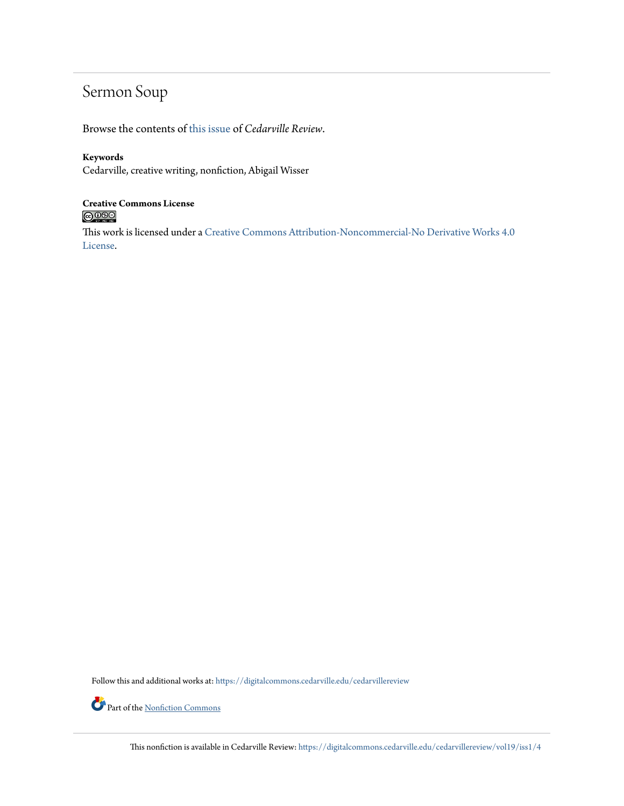## Sermon Soup

Browse the contents of [this issue](https://digitalcommons.cedarville.edu/cedarvillereview/vol19/iss1) of *Cedarville Review*.

### **Keywords**

Cedarville, creative writing, nonfiction, Abigail Wisser

## **Creative Commons License**<br> **C** 000

This work is licensed under a [Creative Commons Attribution-Noncommercial-No Derivative Works 4.0](http://creativecommons.org/licenses/by-nc-nd/4.0/) [License.](http://creativecommons.org/licenses/by-nc-nd/4.0/)

Follow this and additional works at: [https://digitalcommons.cedarville.edu/cedarvillereview](https://digitalcommons.cedarville.edu/cedarvillereview?utm_source=digitalcommons.cedarville.edu%2Fcedarvillereview%2Fvol19%2Fiss1%2F4&utm_medium=PDF&utm_campaign=PDFCoverPages)

Part of the <u>[Nonfiction Commons](http://network.bepress.com/hgg/discipline/1152?utm_source=digitalcommons.cedarville.edu%2Fcedarvillereview%2Fvol19%2Fiss1%2F4&utm_medium=PDF&utm_campaign=PDFCoverPages)</u>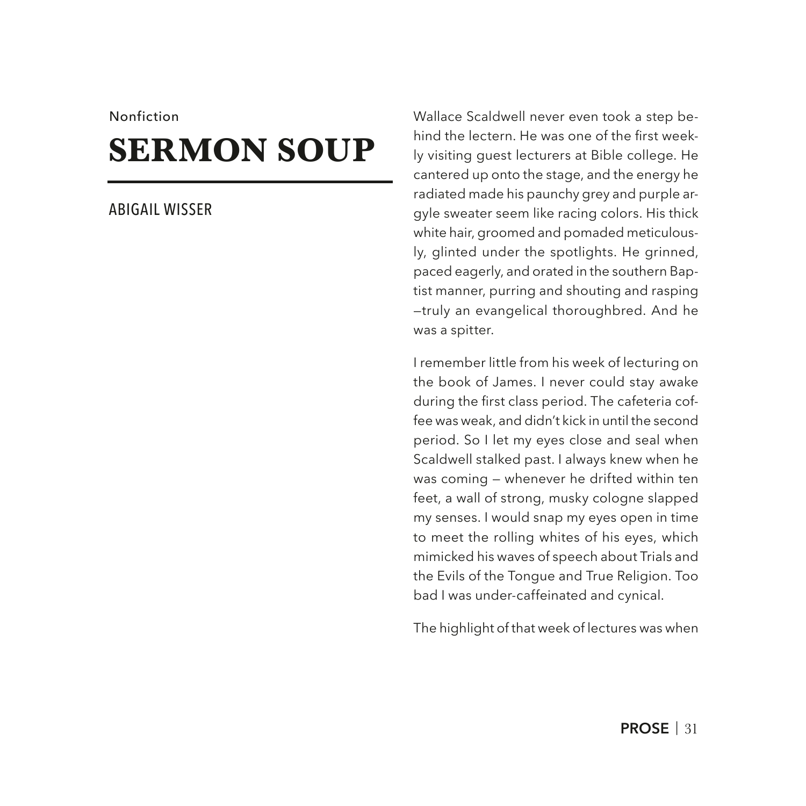#### Nonfiction

# **SERMON SOUP**

### ABIGAIL WISSER

Wallace Scaldwell never even took a step behind the lectern. He was one of the frst weekly visiting guest lecturers at Bible college. He cantered up onto the stage, and the energy he radiated made his paunchy grey and purple argyle sweater seem like racing colors. His thick white hair, groomed and pomaded meticulously, glinted under the spotlights. He grinned, paced eagerly, and orated in the southern Baptist manner, purring and shouting and rasping —truly an evangelical thoroughbred. And he was a spitter.

I remember little from his week of lecturing on the book of James. I never could stay awake during the first class period. The cafeteria coffee was weak, and didn't kick in until the second period. So I let my eyes close and seal when Scaldwell stalked past. I always knew when he was coming — whenever he drifted within ten feet, a wall of strong, musky cologne slapped my senses. I would snap my eyes open in time to meet the rolling whites of his eyes, which mimicked his waves of speech about Trials and the Evils of the Tongue and True Religion. Too bad I was under-caffeinated and cynical.

The highlight of that week of lectures was when